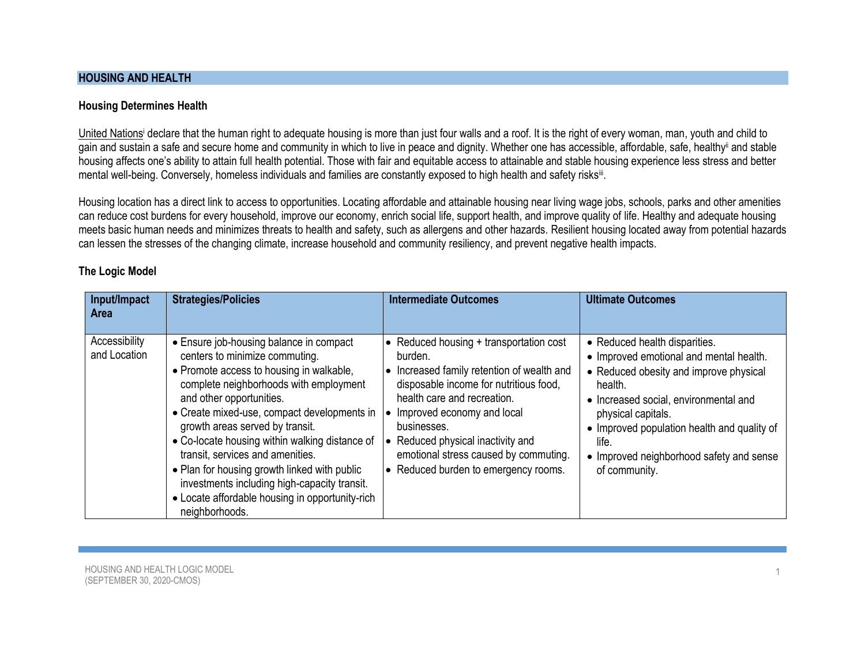# **HOUSING AND HEALTH**

### **Housing Determines Health**

[United Nations](https://www.ohchr.org/en/issues/housing/toolkit/pages/righttoadequatehousingtoolkit.aspx)<sup>i</sup> declare that the human right to adequate housing is more than just four walls and a roof. It is the right of every woman, man, youth and child to gain and sustain a safe and secure home and community in which to live in peace and dignity. Whether one has accessible, affordable, safe, healthy<sup>ii</sup> and stable housing affects one's ability to attain full health potential. Those with fair and equitable access to attainable and stable housing experience less stress and better mental well-being. Conversely, homeless individuals and families are constantly exposed to high health and safety risks<sup>iii</sup>.

Housing location has a direct link to access to opportunities. Locating affordable and attainable housing near living wage jobs, schools, parks and other amenities can reduce cost burdens for every household, improve our economy, enrich social life, support health, and improve quality of life. Healthy and adequate housing meets basic human needs and minimizes threats to health and safety, such as allergens and other hazards. Resilient housing located away from potential hazards can lessen the stresses of the changing climate, increase household and community resiliency, and prevent negative health impacts.

#### **The Logic Model**

| Input/Impact<br><b>Area</b>   | <b>Strategies/Policies</b>                                                                                                                                                                                                                                                                                                                                                                                                                                                                                                               | <b>Intermediate Outcomes</b>                                                                                                                                                                                                                                                                                                               | <b>Ultimate Outcomes</b>                                                                                                                                                                                                                                                                                          |
|-------------------------------|------------------------------------------------------------------------------------------------------------------------------------------------------------------------------------------------------------------------------------------------------------------------------------------------------------------------------------------------------------------------------------------------------------------------------------------------------------------------------------------------------------------------------------------|--------------------------------------------------------------------------------------------------------------------------------------------------------------------------------------------------------------------------------------------------------------------------------------------------------------------------------------------|-------------------------------------------------------------------------------------------------------------------------------------------------------------------------------------------------------------------------------------------------------------------------------------------------------------------|
| Accessibility<br>and Location | • Ensure job-housing balance in compact<br>centers to minimize commuting.<br>• Promote access to housing in walkable,<br>complete neighborhoods with employment<br>and other opportunities.<br>• Create mixed-use, compact developments in<br>growth areas served by transit.<br>• Co-locate housing within walking distance of<br>transit, services and amenities.<br>• Plan for housing growth linked with public<br>investments including high-capacity transit.<br>• Locate affordable housing in opportunity-rich<br>neighborhoods. | • Reduced housing $+$ transportation cost<br>burden.<br>Increased family retention of wealth and<br>disposable income for nutritious food,<br>health care and recreation.<br>Improved economy and local<br>businesses.<br>Reduced physical inactivity and<br>emotional stress caused by commuting.<br>• Reduced burden to emergency rooms. | • Reduced health disparities.<br>• Improved emotional and mental health.<br>• Reduced obesity and improve physical<br>health.<br>• Increased social, environmental and<br>physical capitals.<br>• Improved population health and quality of<br>life.<br>• Improved neighborhood safety and sense<br>of community. |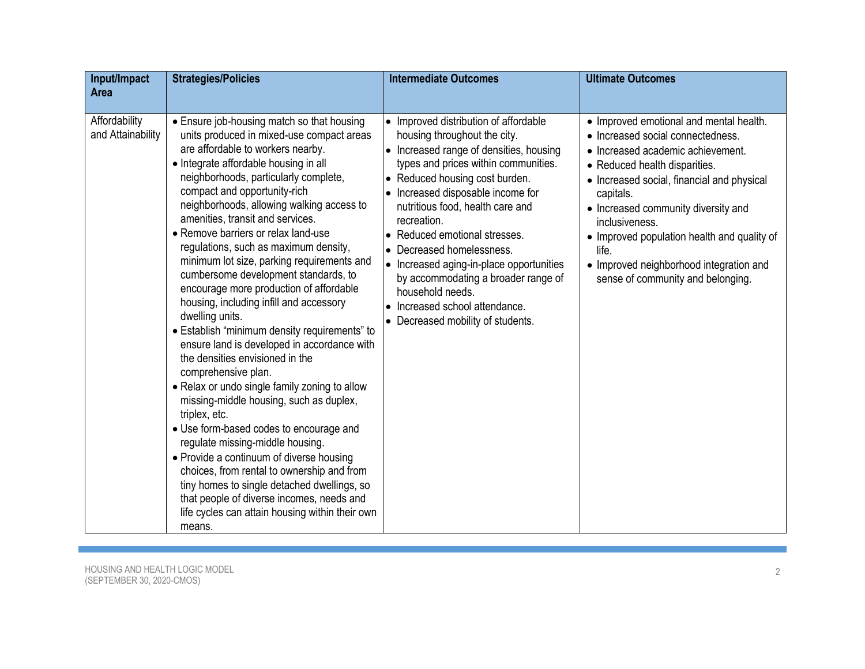| Input/Impact<br><b>Area</b>        | <b>Strategies/Policies</b>                                                                                                                                                                                                                                                                                                                                                                                                                                                                                                                                                                                                                                                                                                                                                                                                                                                                                                                                                                                                                                                                                                                                                                                              | <b>Intermediate Outcomes</b>                                                                                                                                                                                                                                                                                                                                                                                                                                                                                                 | <b>Ultimate Outcomes</b>                                                                                                                                                                                                                                                                                                                                                                                       |
|------------------------------------|-------------------------------------------------------------------------------------------------------------------------------------------------------------------------------------------------------------------------------------------------------------------------------------------------------------------------------------------------------------------------------------------------------------------------------------------------------------------------------------------------------------------------------------------------------------------------------------------------------------------------------------------------------------------------------------------------------------------------------------------------------------------------------------------------------------------------------------------------------------------------------------------------------------------------------------------------------------------------------------------------------------------------------------------------------------------------------------------------------------------------------------------------------------------------------------------------------------------------|------------------------------------------------------------------------------------------------------------------------------------------------------------------------------------------------------------------------------------------------------------------------------------------------------------------------------------------------------------------------------------------------------------------------------------------------------------------------------------------------------------------------------|----------------------------------------------------------------------------------------------------------------------------------------------------------------------------------------------------------------------------------------------------------------------------------------------------------------------------------------------------------------------------------------------------------------|
| Affordability<br>and Attainability | • Ensure job-housing match so that housing<br>units produced in mixed-use compact areas<br>are affordable to workers nearby.<br>• Integrate affordable housing in all<br>neighborhoods, particularly complete,<br>compact and opportunity-rich<br>neighborhoods, allowing walking access to<br>amenities, transit and services.<br>• Remove barriers or relax land-use<br>regulations, such as maximum density,<br>minimum lot size, parking requirements and<br>cumbersome development standards, to<br>encourage more production of affordable<br>housing, including infill and accessory<br>dwelling units.<br>• Establish "minimum density requirements" to<br>ensure land is developed in accordance with<br>the densities envisioned in the<br>comprehensive plan.<br>• Relax or undo single family zoning to allow<br>missing-middle housing, such as duplex,<br>triplex, etc.<br>• Use form-based codes to encourage and<br>regulate missing-middle housing.<br>• Provide a continuum of diverse housing<br>choices, from rental to ownership and from<br>tiny homes to single detached dwellings, so<br>that people of diverse incomes, needs and<br>life cycles can attain housing within their own<br>means. | • Improved distribution of affordable<br>housing throughout the city.<br>• Increased range of densities, housing<br>types and prices within communities.<br>• Reduced housing cost burden.<br>• Increased disposable income for<br>nutritious food, health care and<br>recreation.<br>• Reduced emotional stresses.<br>• Decreased homelessness.<br>• Increased aging-in-place opportunities<br>by accommodating a broader range of<br>household needs.<br>• Increased school attendance.<br>Decreased mobility of students. | • Improved emotional and mental health.<br>• Increased social connectedness.<br>• Increased academic achievement.<br>• Reduced health disparities.<br>• Increased social, financial and physical<br>capitals.<br>• Increased community diversity and<br>inclusiveness.<br>• Improved population health and quality of<br>life.<br>• Improved neighborhood integration and<br>sense of community and belonging. |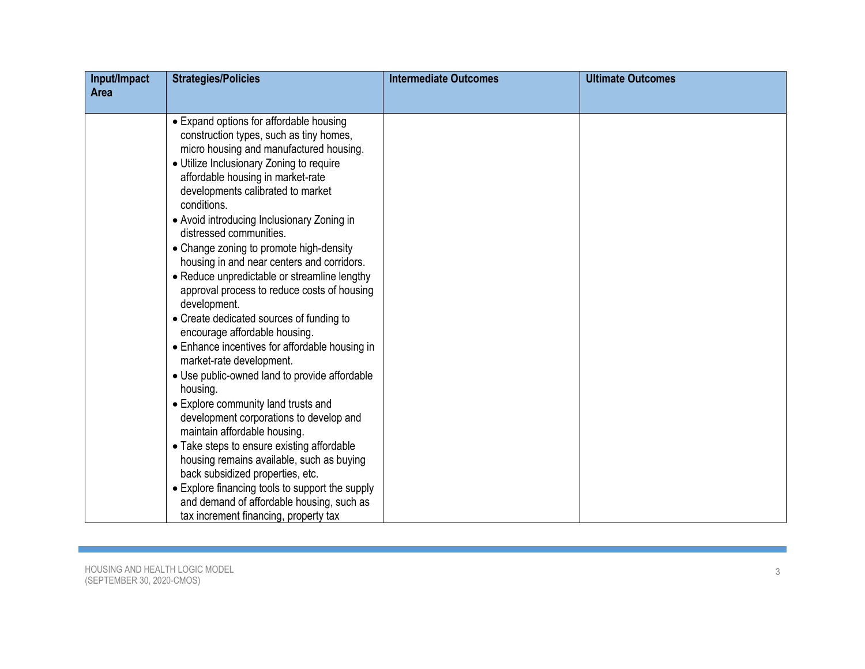| Input/Impact | <b>Strategies/Policies</b>                                                            | <b>Intermediate Outcomes</b> | <b>Ultimate Outcomes</b> |
|--------------|---------------------------------------------------------------------------------------|------------------------------|--------------------------|
| Area         |                                                                                       |                              |                          |
|              | • Expand options for affordable housing                                               |                              |                          |
|              | construction types, such as tiny homes,<br>micro housing and manufactured housing.    |                              |                          |
|              | • Utilize Inclusionary Zoning to require                                              |                              |                          |
|              | affordable housing in market-rate<br>developments calibrated to market                |                              |                          |
|              | conditions.                                                                           |                              |                          |
|              | • Avoid introducing Inclusionary Zoning in                                            |                              |                          |
|              | distressed communities.                                                               |                              |                          |
|              | • Change zoning to promote high-density<br>housing in and near centers and corridors. |                              |                          |
|              | • Reduce unpredictable or streamline lengthy                                          |                              |                          |
|              | approval process to reduce costs of housing<br>development.                           |                              |                          |
|              | • Create dedicated sources of funding to<br>encourage affordable housing.             |                              |                          |
|              | • Enhance incentives for affordable housing in<br>market-rate development.            |                              |                          |
|              | • Use public-owned land to provide affordable<br>housing.                             |                              |                          |
|              | • Explore community land trusts and                                                   |                              |                          |
|              | development corporations to develop and<br>maintain affordable housing.               |                              |                          |
|              | • Take steps to ensure existing affordable                                            |                              |                          |
|              | housing remains available, such as buying                                             |                              |                          |
|              | back subsidized properties, etc.                                                      |                              |                          |
|              | • Explore financing tools to support the supply                                       |                              |                          |
|              | and demand of affordable housing, such as<br>tax increment financing, property tax    |                              |                          |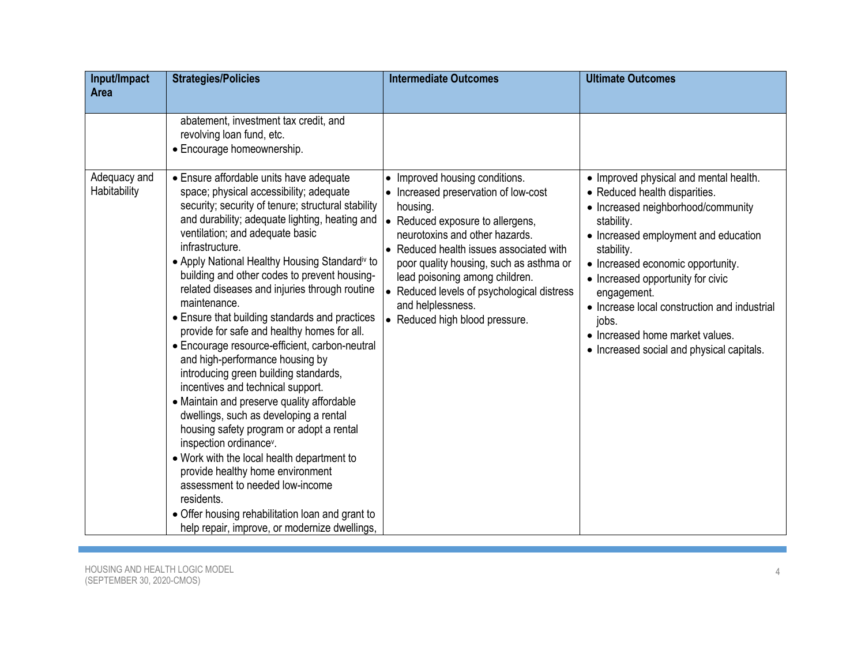| Input/Impact<br>Area         | <b>Strategies/Policies</b>                                                                                                                                                                                                                                                                                                                                                                                                                                                                                                                                                                                                                                                                                                                                                                                                                                                                                                                                             | <b>Intermediate Outcomes</b>                                                                                                                                                                                                                                                                                                                                                          | <b>Ultimate Outcomes</b>                                                                                                                                                                                                                                                                                                                                                                                            |
|------------------------------|------------------------------------------------------------------------------------------------------------------------------------------------------------------------------------------------------------------------------------------------------------------------------------------------------------------------------------------------------------------------------------------------------------------------------------------------------------------------------------------------------------------------------------------------------------------------------------------------------------------------------------------------------------------------------------------------------------------------------------------------------------------------------------------------------------------------------------------------------------------------------------------------------------------------------------------------------------------------|---------------------------------------------------------------------------------------------------------------------------------------------------------------------------------------------------------------------------------------------------------------------------------------------------------------------------------------------------------------------------------------|---------------------------------------------------------------------------------------------------------------------------------------------------------------------------------------------------------------------------------------------------------------------------------------------------------------------------------------------------------------------------------------------------------------------|
| Adequacy and<br>Habitability | abatement, investment tax credit, and<br>revolving loan fund, etc.<br>• Encourage homeownership.<br>• Ensure affordable units have adequate<br>space; physical accessibility; adequate<br>security; security of tenure; structural stability<br>and durability; adequate lighting, heating and<br>ventilation; and adequate basic<br>infrastructure.<br>• Apply National Healthy Housing Standardiv to<br>building and other codes to prevent housing-<br>related diseases and injuries through routine<br>maintenance.<br>• Ensure that building standards and practices<br>provide for safe and healthy homes for all.<br>• Encourage resource-efficient, carbon-neutral<br>and high-performance housing by<br>introducing green building standards,<br>incentives and technical support.<br>• Maintain and preserve quality affordable<br>dwellings, such as developing a rental<br>housing safety program or adopt a rental<br>inspection ordinance <sup>v</sup> . | • Improved housing conditions.<br>• Increased preservation of low-cost<br>housing.<br>• Reduced exposure to allergens,<br>neurotoxins and other hazards.<br>• Reduced health issues associated with<br>poor quality housing, such as asthma or<br>lead poisoning among children.<br>• Reduced levels of psychological distress<br>and helplessness.<br>• Reduced high blood pressure. | • Improved physical and mental health.<br>• Reduced health disparities.<br>• Increased neighborhood/community<br>stability.<br>• Increased employment and education<br>stability.<br>• Increased economic opportunity.<br>• Increased opportunity for civic<br>engagement.<br>• Increase local construction and industrial<br>jobs.<br>• Increased home market values.<br>• Increased social and physical capitals. |
|                              | • Work with the local health department to<br>provide healthy home environment<br>assessment to needed low-income<br>residents.<br>• Offer housing rehabilitation loan and grant to<br>help repair, improve, or modernize dwellings,                                                                                                                                                                                                                                                                                                                                                                                                                                                                                                                                                                                                                                                                                                                                   |                                                                                                                                                                                                                                                                                                                                                                                       |                                                                                                                                                                                                                                                                                                                                                                                                                     |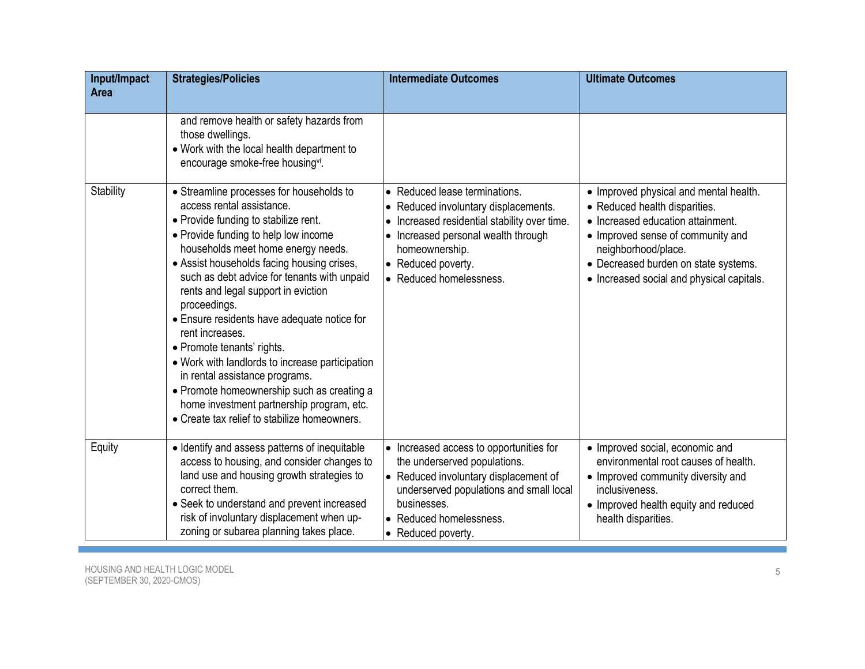| Input/Impact<br>Area | <b>Strategies/Policies</b>                                                                                                                                                                                                                                                                                                                                                                                                                                                                                                                                                                                                                                                      | <b>Intermediate Outcomes</b>                                                                                                                                                                                                    | <b>Ultimate Outcomes</b>                                                                                                                                                                                                                                      |
|----------------------|---------------------------------------------------------------------------------------------------------------------------------------------------------------------------------------------------------------------------------------------------------------------------------------------------------------------------------------------------------------------------------------------------------------------------------------------------------------------------------------------------------------------------------------------------------------------------------------------------------------------------------------------------------------------------------|---------------------------------------------------------------------------------------------------------------------------------------------------------------------------------------------------------------------------------|---------------------------------------------------------------------------------------------------------------------------------------------------------------------------------------------------------------------------------------------------------------|
|                      | and remove health or safety hazards from<br>those dwellings.<br>• Work with the local health department to<br>encourage smoke-free housingvi.                                                                                                                                                                                                                                                                                                                                                                                                                                                                                                                                   |                                                                                                                                                                                                                                 |                                                                                                                                                                                                                                                               |
| Stability            | • Streamline processes for households to<br>access rental assistance.<br>• Provide funding to stabilize rent.<br>• Provide funding to help low income<br>households meet home energy needs.<br>• Assist households facing housing crises,<br>such as debt advice for tenants with unpaid<br>rents and legal support in eviction<br>proceedings.<br>• Ensure residents have adequate notice for<br>rent increases.<br>• Promote tenants' rights.<br>• Work with landlords to increase participation<br>in rental assistance programs.<br>• Promote homeownership such as creating a<br>home investment partnership program, etc.<br>• Create tax relief to stabilize homeowners. | • Reduced lease terminations.<br>• Reduced involuntary displacements.<br>• Increased residential stability over time.<br>• Increased personal wealth through<br>homeownership.<br>• Reduced poverty.<br>• Reduced homelessness. | • Improved physical and mental health.<br>• Reduced health disparities.<br>• Increased education attainment.<br>• Improved sense of community and<br>neighborhood/place.<br>• Decreased burden on state systems.<br>• Increased social and physical capitals. |
| Equity               | · Identify and assess patterns of inequitable<br>access to housing, and consider changes to<br>land use and housing growth strategies to<br>correct them.<br>• Seek to understand and prevent increased<br>risk of involuntary displacement when up-<br>zoning or subarea planning takes place.                                                                                                                                                                                                                                                                                                                                                                                 | • Increased access to opportunities for<br>the underserved populations.<br>• Reduced involuntary displacement of<br>underserved populations and small local<br>businesses.<br>• Reduced homelessness.<br>• Reduced poverty.     | • Improved social, economic and<br>environmental root causes of health.<br>• Improved community diversity and<br>inclusiveness.<br>• Improved health equity and reduced<br>health disparities.                                                                |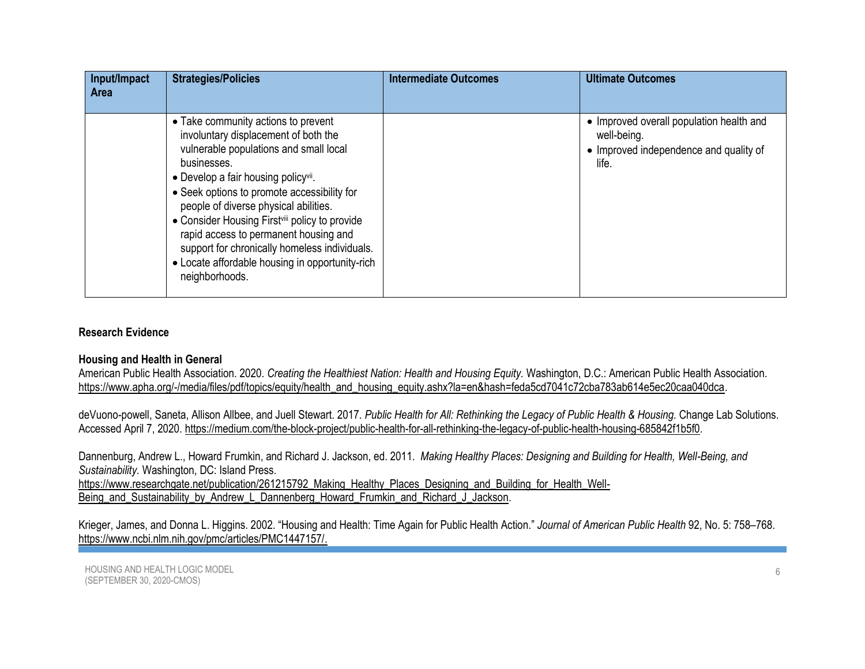| Input/Impact<br>Area | <b>Strategies/Policies</b>                                                                                                                                                                                                                                                                                                                                                                                                                                                                                    | <b>Intermediate Outcomes</b> | <b>Ultimate Outcomes</b>                                                                                   |
|----------------------|---------------------------------------------------------------------------------------------------------------------------------------------------------------------------------------------------------------------------------------------------------------------------------------------------------------------------------------------------------------------------------------------------------------------------------------------------------------------------------------------------------------|------------------------------|------------------------------------------------------------------------------------------------------------|
|                      | • Take community actions to prevent<br>involuntary displacement of both the<br>vulnerable populations and small local<br>businesses.<br>• Develop a fair housing policy <sup>vii</sup> .<br>• Seek options to promote accessibility for<br>people of diverse physical abilities.<br>• Consider Housing First <sup>viii</sup> policy to provide<br>rapid access to permanent housing and<br>support for chronically homeless individuals.<br>• Locate affordable housing in opportunity-rich<br>neighborhoods. |                              | • Improved overall population health and<br>well-being.<br>• Improved independence and quality of<br>life. |

### **Research Evidence**

#### **Housing and Health in General**

American Public Health Association. 2020. *Creating the Healthiest Nation: Health and Housing Equity.* Washington, D.C.: American Public Health Association. [https://www.apha.org/-/media/files/pdf/topics/equity/health\\_and\\_housing\\_equity.ashx?la=en&hash=feda5cd7041c72cba783ab614e5ec20caa040dca.](https://www.apha.org/-/media/files/pdf/topics/equity/health_and_housing_equity.ashx?la=en&hash=FEDA5CD7041C72CBA783AB614E5EC20CAA040DCA)

deVuono-powell, Saneta, Allison Allbee, and Juell Stewart. 2017. *Public Health for All: Rethinking the Legacy of Public Health & Housing.* Change Lab Solutions. Accessed April 7, 2020. [https://medium.com/the-block-project/public-health-for-all-rethinking-the-legacy-of-public-health-housing-685842f1b5f0.](https://medium.com/the-block-project/public-health-for-all-rethinking-the-legacy-of-public-health-housing-685842f1b5f0)

Dannenburg, Andrew L., Howard Frumkin, and Richard J. Jackson, ed. 2011. *Making Healthy Places: Designing and Building for Health, Well-Being, and Sustainability.* Washington, DC: Island Press.

[https://www.researchgate.net/publication/261215792\\_Making\\_Healthy\\_Places\\_Designing\\_and\\_Building\\_for\\_Health\\_Well-](https://www.researchgate.net/publication/261215792_Making_Healthy_Places_Designing_and_Building_for_Health_Well-Being_and_Sustainability_by_Andrew_L_Dannenberg_Howard_Frumkin_and_Richard_J_Jackson)

[Being\\_and\\_Sustainability\\_by\\_Andrew\\_L\\_Dannenberg\\_Howard\\_Frumkin\\_and\\_Richard\\_J\\_Jackson.](https://www.researchgate.net/publication/261215792_Making_Healthy_Places_Designing_and_Building_for_Health_Well-Being_and_Sustainability_by_Andrew_L_Dannenberg_Howard_Frumkin_and_Richard_J_Jackson)

Krieger, James, and Donna L. Higgins. 2002. "Housing and Health: Time Again for Public Health Action." *[Journal of American Public Health](file:///D:/CPP/Housing%20LM/Journal%20of%20American%20Public%20Health)* 92, No. 5: 758–768. [https://www.ncbi.nlm.nih.gov/pmc/articles/PMC1447157/.](https://www.ncbi.nlm.nih.gov/pmc/articles/PMC1447157/)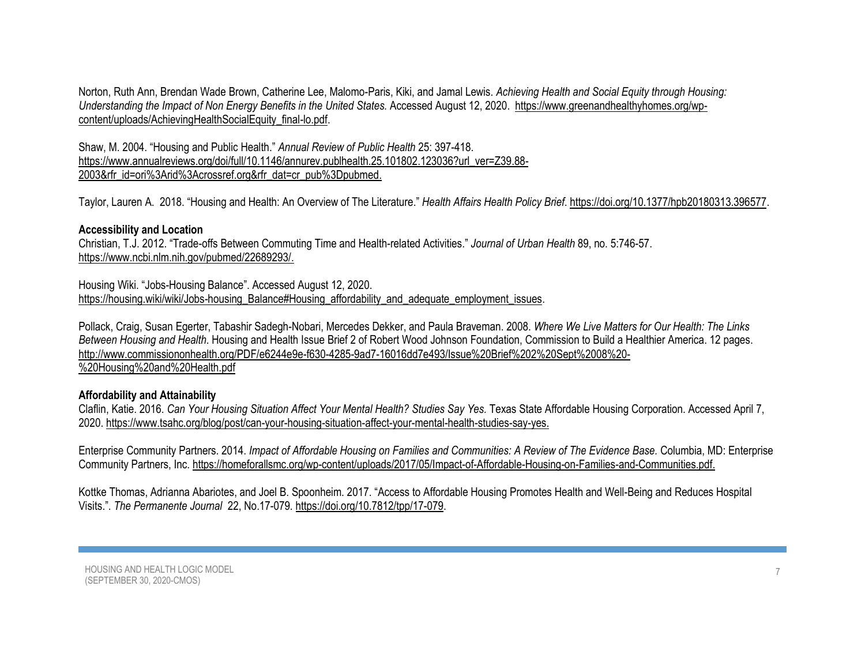Norton, Ruth Ann, Brendan Wade Brown, Catherine Lee, Malomo-Paris, Kiki, and Jamal Lewis. *Achieving Health and Social Equity through Housing: Understanding the Impact of Non Energy Benefits in the United States.* Accessed August 12, 2020. [https://www.greenandhealthyhomes.org/wp](https://www.greenandhealthyhomes.org/wp-content/uploads/AchievingHealthSocialEquity_final-lo.pdf)[content/uploads/AchievingHealthSocialEquity\\_final-lo.pdf.](https://www.greenandhealthyhomes.org/wp-content/uploads/AchievingHealthSocialEquity_final-lo.pdf)

Shaw, M. 2004. "Housing and Public Health." *Annual Review of Public Health* 25: 397-418. [https://www.annualreviews.org/doi/full/10.1146/annurev.publhealth.25.101802.123036?url\\_ver=Z39.88-](https://www.annualreviews.org/doi/full/10.1146/annurev.publhealth.25.101802.123036?url_ver=Z39.88-2003&rfr_id=ori%3Arid%3Acrossref.org&rfr_dat=cr_pub%3Dpubmed) [2003&rfr\\_id=ori%3Arid%3Acrossref.org&rfr\\_dat=cr\\_pub%3Dpubmed.](https://www.annualreviews.org/doi/full/10.1146/annurev.publhealth.25.101802.123036?url_ver=Z39.88-2003&rfr_id=ori%3Arid%3Acrossref.org&rfr_dat=cr_pub%3Dpubmed)

Taylor, Lauren A. 2018. "Housing and Health: An Overview of The Literature." *Health Affairs Health Policy Brief*. https:/[/doi.org/10.1377/hpb20180313.396577.](https://www.healthaffairs.org/do/10.1377/hpb20180313.396577/full/)

#### **Accessibility and Location**

Christian, T.J. 2012. "Trade-offs Between Commuting Time and Health-related Activities." *[Journal of Urban Health](https://www.ncbi.nlm.nih.gov/pubmed/22689293/)* 89, no. 5:746-57. [https://www.ncbi.nlm.nih.gov/pubmed/22689293/.](https://www.ncbi.nlm.nih.gov/pubmed/22689293/)

Housing Wiki. "Jobs-Housing Balance". Accessed August 12, 2020. [https://housing.wiki/wiki/Jobs-housing\\_Balance#Housing\\_affordability\\_and\\_adequate\\_employment\\_issues.](https://housing.wiki/wiki/Jobs-housing_Balance%23Housing_affordability_and_adequate_employment_issues)

Pollack, Craig, Susan Egerter, Tabashir Sadegh-Nobari, Mercedes Dekker, and Paula Braveman. 2008. *Where We Live Matters for Our Health: The Links Between Housing and Health*. Housing and Health Issue Brief 2 of Robert Wood Johnson Foundation, Commission to Build a Healthier America. 12 pages. [http://www.commissiononhealth.org/PDF/e6244e9e-f630-4285-9ad7-16016dd7e493/Issue%20Brief%202%20Sept%2008%20-](http://www.commissiononhealth.org/PDF/e6244e9e-f630-4285-9ad7-16016dd7e493/Issue%20Brief%202%20Sept%2008%20-%20Housing%20and%20Health.pdf) [%20Housing%20and%20Health.pdf](http://www.commissiononhealth.org/PDF/e6244e9e-f630-4285-9ad7-16016dd7e493/Issue%20Brief%202%20Sept%2008%20-%20Housing%20and%20Health.pdf)

#### **Affordability and Attainability**

Claflin, Katie. 2016. *Can Your Housing Situation Affect Your Mental Health? Studies Say Yes.* Texas State Affordable Housing Corporation. Accessed April 7, 2020. [https://www.tsahc.org/blog/post/can-your-housing-situation-affect-your-mental-health-studies-say-yes.](https://www.tsahc.org/blog/post/can-your-housing-situation-affect-your-mental-health-studies-say-yes)

Enterprise Community Partners. 2014. *Impact of Affordable Housing on Families and Communities: A Review of The Evidence Base.* Columbia, MD: Enterprise Community Partners, Inc. [https://homeforallsmc.org/wp-content/uploads/2017/05/Impact-of-Affordable-Housing-on-Families-and-Communities.pdf.](https://homeforallsmc.org/wp-content/uploads/2017/05/Impact-of-Affordable-Housing-on-Families-and-Communities.pdf)

Kottke Thomas, Adrianna Abariotes, and Joel B. Spoonheim. 2017. "[Access to Affordable Housing Promotes Health and Well-Being and Reduces Hospital](https://www.ncbi.nlm.nih.gov/pubmed/29236654)  [Visits.](https://www.ncbi.nlm.nih.gov/pubmed/29236654)". *The Permanente Journal* 22, No.17-079. https:[//doi.org/10.7812/tpp/17-079.](doi:%2010.7812/TPP/17-079)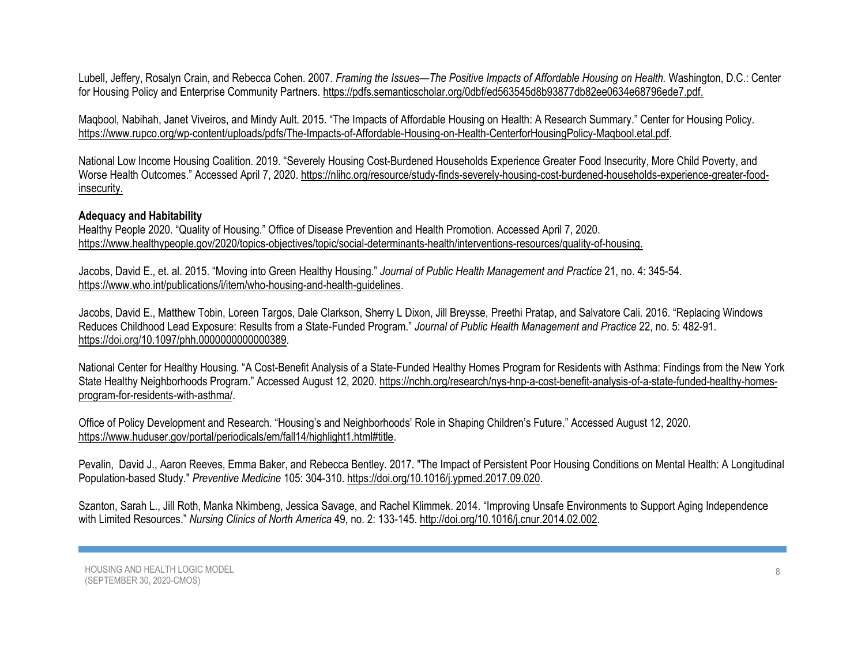Lubell, Jeffery, Rosalyn Crain, and Rebecca Cohen. 2007. *Framing the Issues—The Positive Impacts of Affordable Housing on Health.* Washington, D.C.: Center for Housing Policy and Enterprise Community Partners. [https://pdfs.semanticscholar.org/0dbf/ed563545d8b93877db82ee0634e68796ede7.pdf.](https://pdfs.semanticscholar.org/0dbf/ed563545d8b93877db82ee0634e68796ede7.pdf)

Maqbool, Nabihah, Janet Viveiros, and Mindy Ault. 2015. "The Impacts of Affordable Housing on Health: A Research Summary." Center for Housing Policy. [https://www.rupco.org/wp-content/uploads/pdfs/The-Impacts-of-Affordable-Housing-on-Health-CenterforHousingPolicy-Maqbool.etal.pdf.](https://www.rupco.org/wp-content/uploads/pdfs/The-Impacts-of-Affordable-Housing-on-Health-CenterforHousingPolicy-Maqbool.etal.pdf)

National Low Income Housing Coalition. 2019. "Severely Housing Cost-Burdened Households Experience Greater Food Insecurity, More Child Poverty, and Worse Health Outcomes." Accessed April 7, 2020. [https://nlihc.org/resource/study-finds-severely-housing-cost-burdened-households-experience-greater-food](https://nlihc.org/resource/study-finds-severely-housing-cost-burdened-households-experience-greater-food-insecurity)[insecurity.](https://nlihc.org/resource/study-finds-severely-housing-cost-burdened-households-experience-greater-food-insecurity)

## **Adequacy and Habitability**

Healthy People 2020. "Quality of Housing." Office of Disease Prevention and Health Promotion*.* Accessed April 7, 2020. [https://www.healthypeople.gov/2020/topics-objectives/topic/social-determinants-health/interventions-resources/quality-of-housing.](https://www.healthypeople.gov/2020/topics-objectives/topic/social-determinants-health/interventions-resources/quality-of-housing)

Jacobs, David E., et. al. 2015. "Moving into Green Healthy Housing." *Journal of Public Health Management and Practice* 21, no. 4: 345-54. [https://www.who.int/publications/i/item/who-housing-and-health-guidelines.](https://www.who.int/publications/i/item/who-housing-and-health-guidelines)

Jacobs, David E., Matthew Tobin, Loreen Targos, Dale Clarkson, Sherry L Dixon, Jill Breysse, Preethi Pratap, and Salvatore Cali. 2016. "Replacing Windows Reduces Childhood Lead Exposure: Results from a State-Funded Program." *Journal of Public Health Management and Practice* 22, no. 5: 482-91. https://doi.org[/10.1097/phh.0000000000000389.](https://doi.org/10.1097/phh.0000000000000389)

National Center for Healthy Housing. "A Cost-Benefit Analysis of a State-Funded Healthy Homes Program for Residents with Asthma: Findings from the New York State Healthy Neighborhoods Program." Accessed August 12, 2020. [https://nchh.org/research/nys-hnp-a-cost-benefit-analysis-of-a-state-funded-healthy-homes](https://nchh.org/research/nys-hnp-a-cost-benefit-analysis-of-a-state-funded-healthy-homes-program-for-residents-with-asthma/)[program-for-residents-with-asthma/.](https://nchh.org/research/nys-hnp-a-cost-benefit-analysis-of-a-state-funded-healthy-homes-program-for-residents-with-asthma/)

Office of Policy Development and Research. "Housing's and Neighborhoods' Role in Shaping Children's Future." Accessed August 12, 2020. [https://www.huduser.gov/portal/periodicals/em/fall14/highlight1.html#title.](https://www.huduser.gov/portal/periodicals/em/fall14/highlight1.html#title)

[Pevalin, D](https://www.sciencedirect.com/science/article/pii/S0091743517303419?via%3Dihub#!)avid J.[, Aaron Reeves,](https://www.sciencedirect.com/science/article/pii/S0091743517303419?via%3Dihub#!) Emma Baker, an[d Rebecca Bentley.](https://www.sciencedirect.com/science/article/pii/S0091743517303419?via%3Dihub#!) 2017. "The Impact of Persistent Poor Housing Conditions on Mental Health: A Longitudinal Population-based Study." *[Preventive Medicine](https://www.sciencedirect.com/science/journal/00917435)* 105: 304-310. [https://doi.org/10.1016/j.ypmed.2017.09.020.](https://doi.org/10.1016/j.ypmed.2017.09.020)

Szanton, Sarah L., Jill Roth, Manka Nkimbeng, Jessica Savage, and Rachel Klimmek. 2014. "Improving Unsafe Environments to Support Aging Independence with Limited Resources." *Nursing Clinics of North America* 49, no. 2: 133-145[. http://doi.org/10.1016/j.cnur.2014.02.002.](http://doi.org/10.1016/j.cnur.2014.02.002)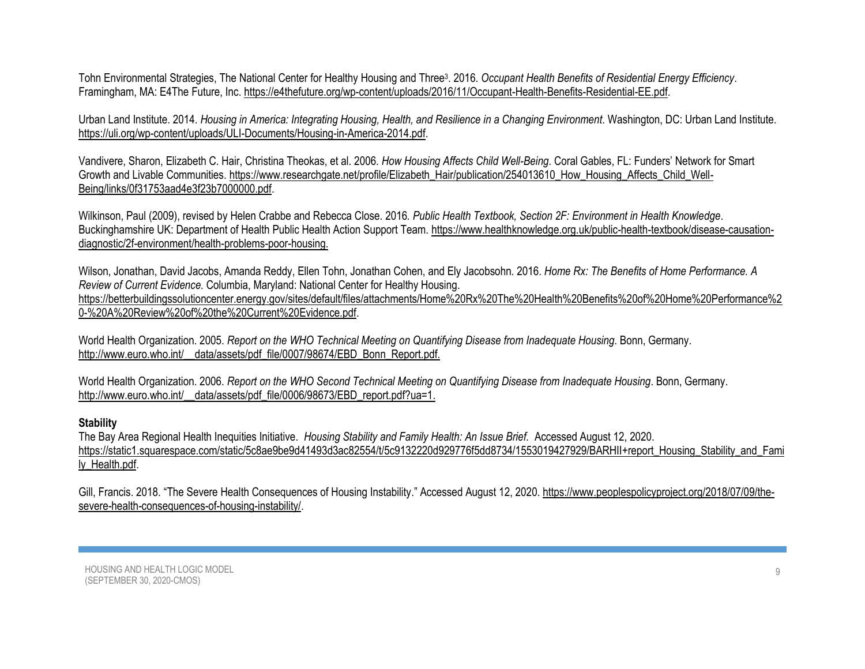Tohn Environmental Strategies, The National Center for Healthy Housing and Three<sup>3</sup>. 2016. Occupant Health Benefits of Residential Energy Efficiency. Framingham, MA: E4The Future, Inc. [https://e4thefuture.org/wp-content/uploads/2016/11/Occupant-Health-Benefits-Residential-EE.pdf.](https://e4thefuture.org/wp-content/uploads/2016/11/Occupant-Health-Benefits-Residential-EE.pdf)

Urban Land Institute. 2014. *[Housing in America: Integrating Housing, Health, and Resilience in a Changing Environment](http://americas.uli.org/HousinginAmerica2014)*. Washington, DC: Urban Land Institute. [https://uli.org/wp-content/uploads/ULI-Documents/Housing-in-America-2014.pdf.](https://uli.org/wp-content/uploads/ULI-Documents/Housing-in-America-2014.pdf)

Vandivere, Sharon, Elizabeth C. Hair, Christina Theokas, et al. 2006. *How Housing Affects Child Well-Being*. Coral Gables, FL: Funders' Network for Smart Growth and Livable Communities. [https://www.researchgate.net/profile/Elizabeth\\_Hair/publication/254013610\\_How\\_Housing\\_Affects\\_Child\\_Well-](https://www.researchgate.net/profile/Elizabeth_Hair/publication/254013610_How_Housing_Affects_Child_Well-Being/links/0f31753aad4e3f23b7000000.pdf)[Being/links/0f31753aad4e3f23b7000000.pdf.](https://www.researchgate.net/profile/Elizabeth_Hair/publication/254013610_How_Housing_Affects_Child_Well-Being/links/0f31753aad4e3f23b7000000.pdf)

Wilkinson, Paul (2009), revised by Helen Crabbe and Rebecca Close. 2016*. Public Health Textbook, Section 2F: Environment in Health Knowledge*. Buckinghamshire UK: Department of Health Public Health Action Support Team. [https://www.healthknowledge.org.uk/public-health-textbook/disease-causation](https://www.healthknowledge.org.uk/public-health-textbook/disease-causation-diagnostic/2f-environment/health-problems-poor-housing)[diagnostic/2f-environment/health-problems-poor-housing.](https://www.healthknowledge.org.uk/public-health-textbook/disease-causation-diagnostic/2f-environment/health-problems-poor-housing)

Wilson, Jonathan, David Jacobs, Amanda Reddy, Ellen Tohn, Jonathan Cohen, and Ely Jacobsohn. 2016. *Home Rx: The Benefits of Home Performance. A Review of Current Evidence.* Columbia, Maryland: National Center for Healthy Housing. [https://betterbuildingssolutioncenter.energy.gov/sites/default/files/attachments/Home%20Rx%20The%20Health%20Benefits%20of%20Home%20Performance%2](https://betterbuildingssolutioncenter.energy.gov/sites/default/files/attachments/Home%20Rx%20The%20Health%20Benefits%20of%20Home%20Performance%20-%20A%20Review%20of%20the%20Current%20Evidence.pdf) [0-%20A%20Review%20of%20the%20Current%20Evidence.pdf.](https://betterbuildingssolutioncenter.energy.gov/sites/default/files/attachments/Home%20Rx%20The%20Health%20Benefits%20of%20Home%20Performance%20-%20A%20Review%20of%20the%20Current%20Evidence.pdf)

World Health Organization. 2005. *Report on the WHO Technical Meeting on Quantifying Disease from Inadequate Housing*. Bonn, Germany. http://www.euro.who.int/ data/assets/pdf\_file/0007/98674/EBD\_Bonn\_Report.pdf.

World Health Organization. 2006. *Report on the WHO Second Technical Meeting on Quantifying Disease from Inadequate Housing*. Bonn, Germany. [http://www.euro.who.int/\\_\\_data/assets/pdf\\_file/0006/98673/EBD\\_report.pdf?ua=1.](http://www.euro.who.int/__data/assets/pdf_file/0006/98673/EBD_report.pdf?ua=1)

## **Stability**

The Bay Area Regional Health Inequities Initiative. *Housing Stability and Family Health: An Issue Brief.* Accessed August 12, 2020. [https://static1.squarespace.com/static/5c8ae9be9d41493d3ac82554/t/5c9132220d929776f5dd8734/1553019427929/BARHII+report\\_Housing\\_Stability\\_and\\_Fami](https://static1.squarespace.com/static/5c8ae9be9d41493d3ac82554/t/5c9132220d929776f5dd8734/1553019427929/BARHII+report_Housing_Stability_and_Family_Health.pdf) [ly\\_Health.pdf.](https://static1.squarespace.com/static/5c8ae9be9d41493d3ac82554/t/5c9132220d929776f5dd8734/1553019427929/BARHII+report_Housing_Stability_and_Family_Health.pdf)

Gill, Francis. 2018. "The Severe Health Consequences of Housing Instability." Accessed August 12, 2020. [https://www.peoplespolicyproject.org/2018/07/09/the](https://www.peoplespolicyproject.org/2018/07/09/the-severe-health-consequences-of-housing-instability/)[severe-health-consequences-of-housing-instability/.](https://www.peoplespolicyproject.org/2018/07/09/the-severe-health-consequences-of-housing-instability/)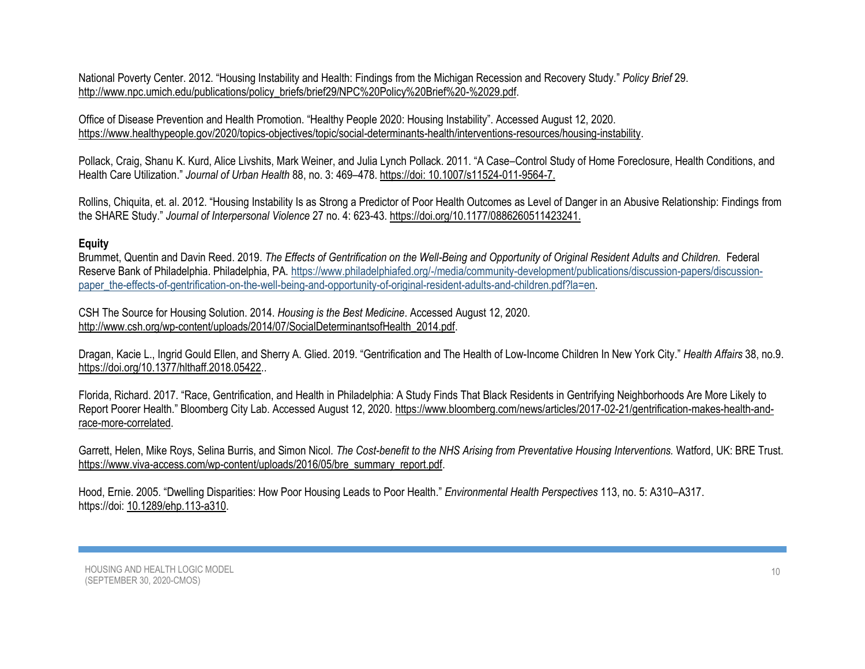National Poverty Center. 2012. "Housing Instability and Health: Findings from the Michigan Recession and Recovery Study." *Policy Brief* 29. [http://www.npc.umich.edu/publications/policy\\_briefs/brief29/NPC%20Policy%20Brief%20-%2029.pdf.](http://www.npc.umich.edu/publications/policy_briefs/brief29/NPC%20Policy%20Brief%20-%2029.pdf)

Office of Disease Prevention and Health Promotion. "Healthy People 2020: Housing Instability". Accessed August 12, 2020. [https://www.healthypeople.gov/2020/topics-objectives/topic/social-determinants-health/interventions-resources/housing-instability.](https://www.healthypeople.gov/2020/topics-objectives/topic/social-determinants-health/interventions-resources/housing-instability)

Pollack, Craig, Shanu K. Kurd, Alice Livshits, Mark Weiner, and Julia Lynch Pollack. 2011. "A Case–Control Study of Home Foreclosure, Health Conditions, and Health Care Utilization." *[Journal of Urban Health](https://www.ncbi.nlm.nih.gov/pmc/articles/PMC3126934/)* 88, no. 3: 469–478. https://doi: [10.1007/s11524-011-9564-7.](https://dx.doi.org/10.1007%2Fs11524-011-9564-7)

Rollins, Chiquita, et. al. 2012. "Housing Instability Is as Strong a Predictor of Poor Health Outcomes as Level of Danger in an Abusive Relationship: Findings from the SHARE Study." *Journal of Interpersonal Violence* 27 no. 4: 623-43. https://doi.org[/10.1177/0886260511423241.](https://www.researchgate.net/deref/http%3A%2F%2Fdx.doi.org%2F10.1177%2F0886260511423241)

### **Equity**

Brummet, Quentin and Davin Reed. 2019. *The Effects of Gentrification on the Well-Being and Opportunity of Original Resident Adults and Children.* Federal Reserve Bank of Philadelphia. Philadelphia, PA. [https://www.philadelphiafed.org/-/media/community-development/publications/discussion-papers/discussion](https://www.philadelphiafed.org/-/media/community-development/publications/discussion-papers/discussion-paper_the-effects-of-gentrification-on-the-well-being-and-opportunity-of-original-resident-adults-and-children.pdf?la=en)[paper\\_the-effects-of-gentrification-on-the-well-being-and-opportunity-of-original-resident-adults-and-children.pdf?la=en.](https://www.philadelphiafed.org/-/media/community-development/publications/discussion-papers/discussion-paper_the-effects-of-gentrification-on-the-well-being-and-opportunity-of-original-resident-adults-and-children.pdf?la=en)

CSH The Source for Housing Solution. 2014. *Housing is the Best Medicine*. Accessed August 12, 2020. [http://www.csh.org/wp-content/uploads/2014/07/SocialDeterminantsofHealth\\_2014.pdf.](http://www.csh.org/wp-content/uploads/2014/07/SocialDeterminantsofHealth_2014.pdf)

Dragan, Kacie L., Ingrid Gould Ellen, and Sherry A. Glied. 2019. "Gentrification and The Health of Low-Income Children In New York City." *Health Affairs* 38, no.9. [https://doi.org/10.1377/hlthaff.2018.05422.](https://doi.org/10.1377/hlthaff.2018.05422).

Florida, Richard. 2017. "Race, Gentrification, and Health in Philadelphia: A Study Finds That Black Residents in Gentrifying Neighborhoods Are More Likely to Report Poorer Health." Bloomberg City Lab. Accessed August 12, 2020. [https://www.bloomberg.com/news/articles/2017-02-21/gentrification-makes-health-and](https://www.bloomberg.com/news/articles/2017-02-21/gentrification-makes-health-and-race-more-correlated)[race-more-correlated.](https://www.bloomberg.com/news/articles/2017-02-21/gentrification-makes-health-and-race-more-correlated)

Garrett, Helen, Mike Roys, Selina Burris, and Simon Nicol*. The Cost-benefit to the NHS Arising from Preventative Housing Interventions.* Watford, UK: BRE Trust. [https://www.viva-access.com/wp-content/uploads/2016/05/bre\\_summary\\_report.pdf.](https://www.viva-access.com/wp-content/uploads/2016/05/bre_summary_report.pdf)

Hood, Ernie. 2005. "Dwelling Disparities: How Poor Housing Leads to Poor Health." *Environmental Health Perspectives* 113, no. 5: A310–A317. https://doi: [10.1289/ehp.113-a310.](https://dx.doi.org/10.1289%2Fehp.113-a310)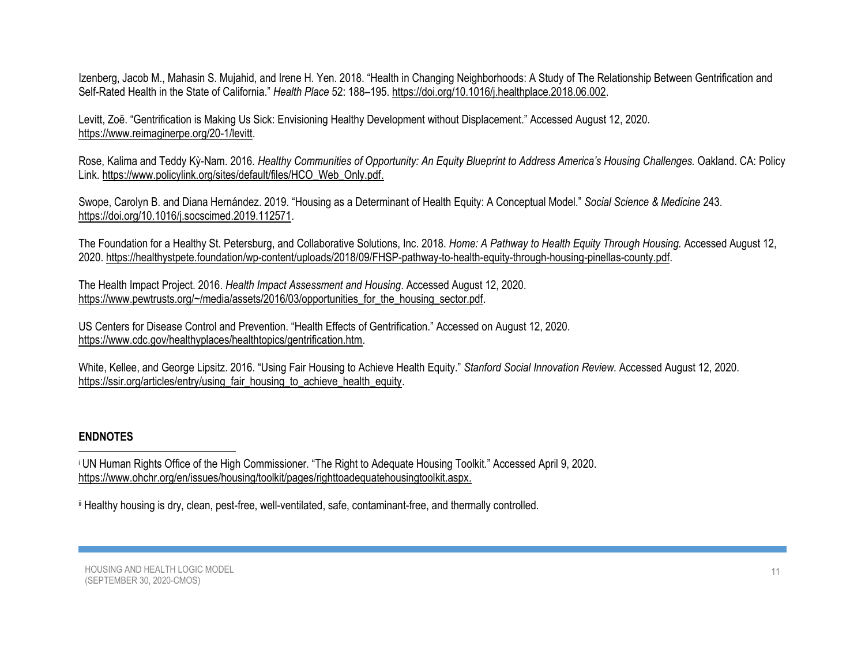[Izenberg,](https://www.ncbi.nlm.nih.gov/pubmed/?term=Izenberg%20JM%5BAuthor%5D&cauthor=true&cauthor_uid=29957396) Jacob M., [Mahasin S. Mujahid,](https://www.ncbi.nlm.nih.gov/pubmed/?term=Mujahid%20MS%5BAuthor%5D&cauthor=true&cauthor_uid=29957396) and [Irene H. Yen](https://www.ncbi.nlm.nih.gov/pubmed/?term=Yen%20IH%5BAuthor%5D&cauthor=true&cauthor_uid=29957396). 2018. "Health in Changing Neighborhoods: A Study of The Relationship Between Gentrification and Self-Rated Health in the State of California." *[Health Place](file:///C:/Users/apow/Documents/CPP%20from%20D%20Drive070720/Housing%20LM/Health%20Place%2052:%20188–195)* 52: 188–195. https://doi.org[/10.1016/j.healthplace.2018.06.002.](https://dx.doi.org/10.1016%2Fj.healthplace.2018.06.002)

Levitt, Zoë. "Gentrification is Making Us Sick: Envisioning Healthy Development without Displacement." Accessed August 12, 2020. [https://www.reimaginerpe.org/20-1/levitt.](https://www.reimaginerpe.org/20-1/levitt)

Rose, Kalima and Teddy Kỳ-Nam. 2016. *Healthy Communities of Opportunity: An Equity Blueprint to Address America's Housing Challenges.* Oakland. CA: Policy Link[. https://www.policylink.org/sites/default/files/HCO\\_Web\\_Only.pdf.](https://www.policylink.org/sites/default/files/HCO_Web_Only.pdf)

Swope[, Carolyn B.](https://www.sciencedirect.com/science/article/abs/pii/S0277953619305659#!) and [Diana Hernández](https://www.sciencedirect.com/science/article/abs/pii/S0277953619305659#!). 2019. "Housing as a Determinant of Health Equity: A Conceptual Model." *[Social Science & Medicine](https://www.sciencedirect.com/science/journal/02779536)* [243.](https://www.sciencedirect.com/science/journal/02779536/243/supp/C) [https://doi.org/10.1016/j.socscimed.2019.112571.](https://doi.org/10.1016/j.socscimed.2019.112571)

The Foundation for a Healthy St. Petersburg, and Collaborative Solutions, Inc. 2018. *Home: A Pathway to Health Equity Through Housing.* Accessed August 12, 2020. [https://healthystpete.foundation/wp-content/uploads/2018/09/FHSP-pathway-to-health-equity-through-housing-pinellas-county.pdf.](https://healthystpete.foundation/wp-content/uploads/2018/09/FHSP-pathway-to-health-equity-through-housing-pinellas-county.pdf)

The Health Impact Project. 2016. *Health Impact Assessment and Housing*. Accessed August 12, 2020. [https://www.pewtrusts.org/~/media/assets/2016/03/opportunities\\_for\\_the\\_housing\\_sector.pdf.](https://www.pewtrusts.org/~/media/assets/2016/03/opportunities_for_the_housing_sector.pdf)

US Centers for Disease Control and Prevention. "Health Effects of Gentrification." Accessed on August 12, 2020. [https://www.cdc.gov/healthyplaces/healthtopics/gentrification.htm.](https://www.cdc.gov/healthyplaces/healthtopics/gentrification.htm)

[White, Kellee, and](https://ssir.org/articles/entry/using_fair_housing_to_achieve_health_equity#bio-footer) George Lipsitz. 2016. "Using Fair Housing to Achieve Health Equity." *Stanford Social Innovation Review.* Accessed August 12, 2020. [https://ssir.org/articles/entry/using\\_fair\\_housing\\_to\\_achieve\\_health\\_equity.](https://ssir.org/articles/entry/using_fair_housing_to_achieve_health_equity)

# **ENDNOTES**

<sup>i</sup> UN Human Rights Office of the High Commissioner. "The Right to Adequate Housing Toolkit." Accessed April 9, 2020. [https://www.ohchr.org/en/issues/housing/toolkit/pages/righttoadequatehousingtoolkit.aspx.](https://www.ohchr.org/en/issues/housing/toolkit/pages/righttoadequatehousingtoolkit.aspx)

ii Healthy housing is dry, clean, pest-free, well-ventilated, safe, contaminant-free, and thermally controlled.